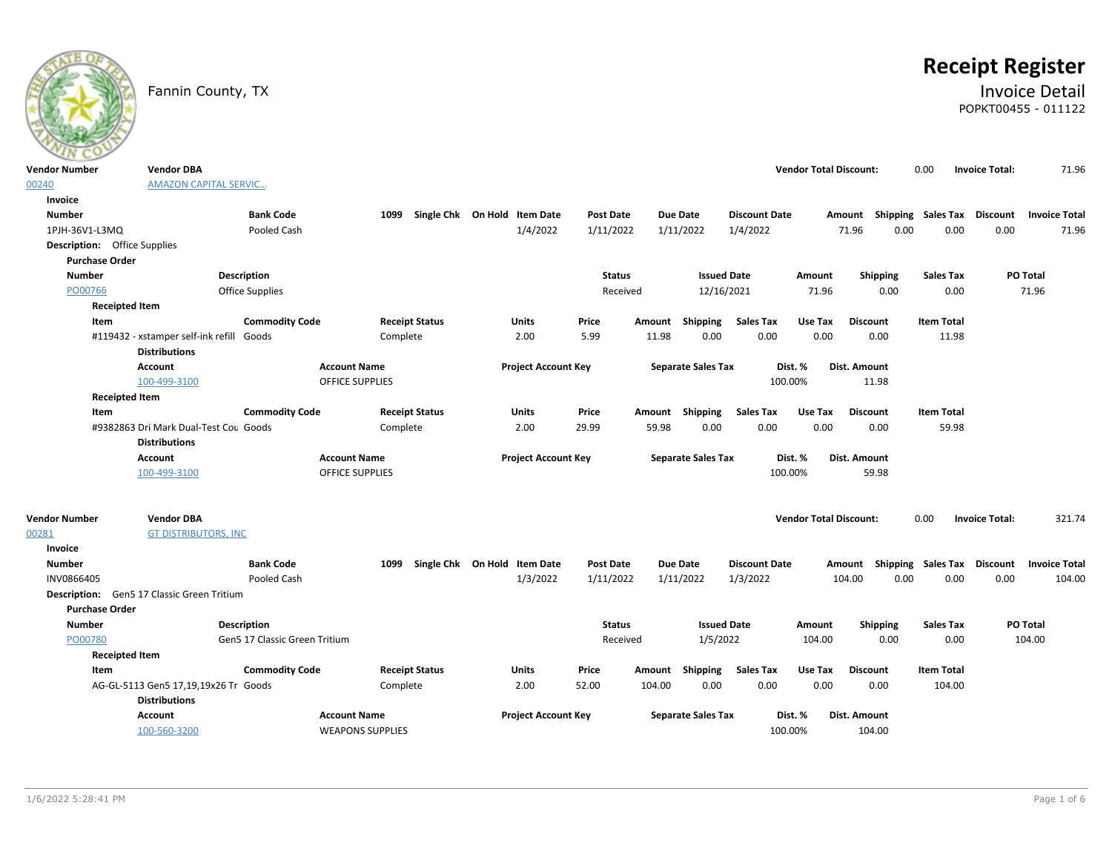

# **Receipt Register**

### Fannin County, TX **Invoice Detail** POPKT00455 - 011122

| <b>Vendor Number</b>                | <b>Vendor DBA</b>                          |                               |                        |                              |                  |                           |                      | <b>Vendor Total Discount:</b> |                           | 0.00               | <b>Invoice Total:</b> | 71.96                |
|-------------------------------------|--------------------------------------------|-------------------------------|------------------------|------------------------------|------------------|---------------------------|----------------------|-------------------------------|---------------------------|--------------------|-----------------------|----------------------|
| 00240                               | <b>AMAZON CAPITAL SERVIC</b>               |                               |                        |                              |                  |                           |                      |                               |                           |                    |                       |                      |
| Invoice                             |                                            |                               |                        |                              |                  |                           |                      |                               |                           |                    |                       |                      |
| <b>Number</b>                       |                                            | <b>Bank Code</b>              | 1099                   | Single Chk On Hold Item Date | Post Date        | <b>Due Date</b>           | <b>Discount Date</b> |                               | Amount Shipping Sales Tax |                    | <b>Discount</b>       | <b>Invoice Total</b> |
| 1PJH-36V1-L3MQ                      |                                            | Pooled Cash                   |                        | 1/4/2022                     | 1/11/2022        | 1/11/2022                 | 1/4/2022             |                               | 71.96<br>0.00             | 0.00               | 0.00                  | 71.96                |
| <b>Description:</b> Office Supplies |                                            |                               |                        |                              |                  |                           |                      |                               |                           |                    |                       |                      |
| <b>Purchase Order</b>               |                                            |                               |                        |                              |                  |                           |                      |                               |                           |                    |                       |                      |
| <b>Number</b>                       | Description                                |                               |                        |                              | <b>Status</b>    |                           | <b>Issued Date</b>   | Amount                        | Shipping                  | <b>Sales Tax</b>   |                       | PO Total             |
| PO00766                             |                                            | <b>Office Supplies</b>        |                        |                              | Received         |                           | 12/16/2021           | 71.96                         | 0.00                      | 0.00               |                       | 71.96                |
| <b>Receipted Item</b>               |                                            |                               |                        |                              |                  |                           |                      |                               |                           |                    |                       |                      |
| Item                                |                                            | <b>Commodity Code</b>         | <b>Receipt Status</b>  | Units                        | Price            | Shipping<br>Amount        | <b>Sales Tax</b>     | Use Tax                       | <b>Discount</b>           | <b>Item Total</b>  |                       |                      |
|                                     | #119432 - xstamper self-ink refill         | Goods                         | Complete               | 2.00                         | 5.99             | 11.98<br>0.00             | 0.00                 | 0.00                          | 0.00                      | 11.98              |                       |                      |
|                                     | <b>Distributions</b>                       |                               |                        |                              |                  |                           |                      |                               |                           |                    |                       |                      |
|                                     | <b>Account</b>                             |                               | <b>Account Name</b>    | <b>Project Account Key</b>   |                  | <b>Separate Sales Tax</b> |                      | Dist. %                       | Dist. Amount              |                    |                       |                      |
|                                     | 100-499-3100                               |                               | <b>OFFICE SUPPLIES</b> |                              |                  |                           |                      | 100.00%                       | 11.98                     |                    |                       |                      |
| <b>Receipted Item</b>               |                                            |                               |                        |                              |                  |                           |                      |                               |                           |                    |                       |                      |
| Item                                |                                            | <b>Commodity Code</b>         | <b>Receipt Status</b>  | Units                        | Price            | Amount Shipping           | <b>Sales Tax</b>     | Use Tax                       | <b>Discount</b>           | <b>Item Total</b>  |                       |                      |
|                                     | #9382863 Dri Mark Dual-Test Cou Goods      |                               | Complete               | 2.00                         | 29.99            | 59.98<br>0.00             | 0.00                 | 0.00                          | 0.00                      | 59.98              |                       |                      |
|                                     | <b>Distributions</b>                       |                               |                        |                              |                  |                           |                      |                               |                           |                    |                       |                      |
|                                     | <b>Account</b>                             |                               | <b>Account Name</b>    | <b>Project Account Key</b>   |                  | <b>Separate Sales Tax</b> |                      | Dist. %                       | Dist. Amount              |                    |                       |                      |
|                                     | 100-499-3100                               |                               | <b>OFFICE SUPPLIES</b> |                              |                  |                           |                      | 100.00%                       | 59.98                     |                    |                       |                      |
|                                     |                                            |                               |                        |                              |                  |                           |                      |                               |                           |                    |                       |                      |
| <b>Vendor Number</b>                | <b>Vendor DBA</b>                          |                               |                        |                              |                  |                           |                      | <b>Vendor Total Discount:</b> |                           | 0.00               | <b>Invoice Total:</b> | 321.74               |
| 00281                               | <b>GT DISTRIBUTORS, INC</b>                |                               |                        |                              |                  |                           |                      |                               |                           |                    |                       |                      |
| Invoice                             |                                            |                               |                        |                              |                  |                           |                      |                               |                           |                    |                       |                      |
| <b>Number</b>                       |                                            | <b>Bank Code</b>              | 1099                   | Single Chk On Hold Item Date | <b>Post Date</b> | <b>Due Date</b>           | <b>Discount Date</b> |                               | Amount                    | Shipping Sales Tax | <b>Discount</b>       | <b>Invoice Total</b> |
| INV0866405                          |                                            | Pooled Cash                   |                        | 1/3/2022                     | 1/11/2022        | 1/11/2022                 | 1/3/2022             |                               | 104.00<br>0.00            | 0.00               | 0.00                  | 104.00               |
|                                     | Description: Gen5 17 Classic Green Tritium |                               |                        |                              |                  |                           |                      |                               |                           |                    |                       |                      |
| <b>Purchase Order</b>               |                                            |                               |                        |                              |                  |                           |                      |                               |                           |                    |                       |                      |
| Number                              | Description                                |                               |                        |                              | <b>Status</b>    |                           | <b>Issued Date</b>   | Amount                        | Shipping                  | <b>Sales Tax</b>   |                       | PO Total             |
| PO00780                             |                                            | Gen5 17 Classic Green Tritium |                        |                              | Received         |                           | 1/5/2022             | 104.00                        | 0.00                      | 0.00               |                       | 104.00               |
| <b>Receipted Item</b>               |                                            |                               |                        |                              |                  |                           |                      |                               |                           |                    |                       |                      |
| Item                                |                                            | <b>Commodity Code</b>         | <b>Receipt Status</b>  | <b>Units</b>                 | Price            | Shipping<br>Amount        | <b>Sales Tax</b>     | Use Tax                       | <b>Discount</b>           | <b>Item Total</b>  |                       |                      |
|                                     | AG-GL-5113 Gen5 17,19,19x26 Tr Goods       |                               | Complete               | 2.00                         | 52.00            | 0.00<br>104.00            | 0.00                 | 0.00                          | 0.00                      | 104.00             |                       |                      |
|                                     | <b>Distributions</b>                       |                               |                        |                              |                  |                           |                      |                               |                           |                    |                       |                      |
|                                     |                                            |                               |                        |                              |                  |                           |                      |                               |                           |                    |                       |                      |
|                                     | Account                                    |                               | <b>Account Name</b>    | <b>Project Account Key</b>   |                  | <b>Separate Sales Tax</b> |                      | Dist. %                       | Dist. Amount              |                    |                       |                      |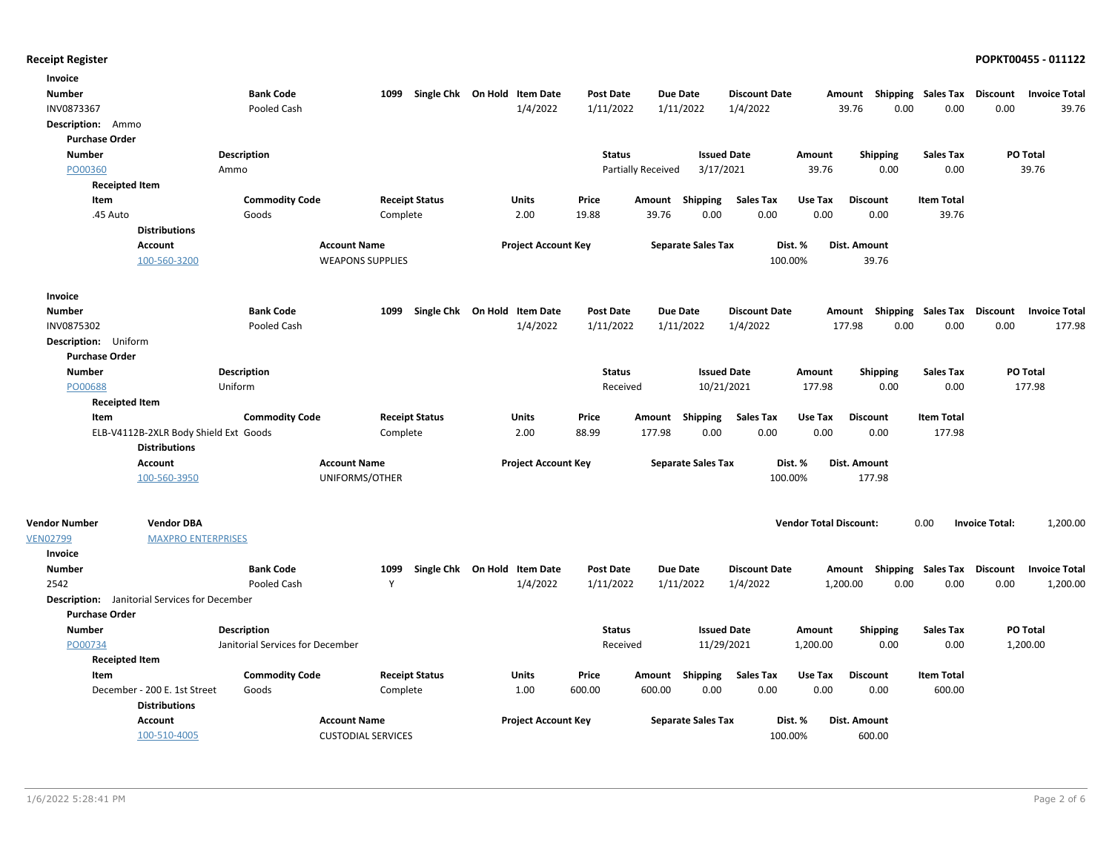| Invoice                  |                                                      |                                  |                           |                       |                              |                  |                    |                           |                      |                               |                           |                   |                       |                      |
|--------------------------|------------------------------------------------------|----------------------------------|---------------------------|-----------------------|------------------------------|------------------|--------------------|---------------------------|----------------------|-------------------------------|---------------------------|-------------------|-----------------------|----------------------|
| <b>Number</b>            |                                                      | <b>Bank Code</b>                 | 1099                      |                       | Single Chk On Hold Item Date | <b>Post Date</b> | <b>Due Date</b>    |                           | <b>Discount Date</b> |                               | Amount Shipping Sales Tax |                   | <b>Discount</b>       | <b>Invoice Total</b> |
| INV0873367               |                                                      | Pooled Cash                      |                           |                       | 1/4/2022                     | 1/11/2022        | 1/11/2022          |                           | 1/4/2022             |                               | 39.76<br>0.00             | 0.00              | 0.00                  | 39.76                |
| <b>Description:</b> Ammo |                                                      |                                  |                           |                       |                              |                  |                    |                           |                      |                               |                           |                   |                       |                      |
| <b>Purchase Order</b>    |                                                      |                                  |                           |                       |                              |                  |                    |                           |                      |                               |                           |                   |                       |                      |
| <b>Number</b>            |                                                      | <b>Description</b>               |                           |                       |                              | <b>Status</b>    |                    | <b>Issued Date</b>        |                      | Amount                        | <b>Shipping</b>           | <b>Sales Tax</b>  |                       | PO Total             |
| PO00360                  |                                                      | Ammo                             |                           |                       |                              |                  | Partially Received | 3/17/2021                 |                      | 39.76                         | 0.00                      | 0.00              |                       | 39.76                |
| <b>Receipted Item</b>    |                                                      |                                  |                           |                       |                              |                  |                    |                           |                      |                               |                           |                   |                       |                      |
| Item                     |                                                      | <b>Commodity Code</b>            |                           | <b>Receipt Status</b> | <b>Units</b>                 | Price            | Amount Shipping    |                           | Sales Tax            | Use Tax                       | <b>Discount</b>           | <b>Item Total</b> |                       |                      |
| .45 Auto                 |                                                      | Goods                            | Complete                  |                       | 2.00                         | 19.88            | 39.76              | 0.00                      | 0.00                 | 0.00                          | 0.00                      | 39.76             |                       |                      |
|                          | <b>Distributions</b>                                 |                                  |                           |                       |                              |                  |                    |                           |                      |                               |                           |                   |                       |                      |
|                          | <b>Account</b>                                       |                                  | <b>Account Name</b>       |                       | <b>Project Account Key</b>   |                  |                    | <b>Separate Sales Tax</b> | Dist. %              |                               | Dist. Amount              |                   |                       |                      |
|                          | 100-560-3200                                         |                                  | <b>WEAPONS SUPPLIES</b>   |                       |                              |                  |                    |                           | 100.00%              |                               | 39.76                     |                   |                       |                      |
| Invoice                  |                                                      |                                  |                           |                       |                              |                  |                    |                           |                      |                               |                           |                   |                       |                      |
| <b>Number</b>            |                                                      | <b>Bank Code</b>                 | 1099                      |                       | Single Chk On Hold Item Date | <b>Post Date</b> | <b>Due Date</b>    |                           | <b>Discount Date</b> |                               | Amount Shipping Sales Tax |                   | Discount              | <b>Invoice Total</b> |
| INV0875302               |                                                      | Pooled Cash                      |                           |                       | 1/4/2022                     | 1/11/2022        | 1/11/2022          |                           | 1/4/2022             | 177.98                        | 0.00                      | 0.00              | 0.00                  | 177.98               |
| Description: Uniform     |                                                      |                                  |                           |                       |                              |                  |                    |                           |                      |                               |                           |                   |                       |                      |
| <b>Purchase Order</b>    |                                                      |                                  |                           |                       |                              |                  |                    |                           |                      |                               |                           |                   |                       |                      |
| <b>Number</b>            |                                                      | Description                      |                           |                       |                              | <b>Status</b>    |                    | <b>Issued Date</b>        |                      | Amount                        | <b>Shipping</b>           | <b>Sales Tax</b>  |                       | PO Total             |
| PO00688                  |                                                      | Uniform                          |                           |                       |                              | Received         |                    | 10/21/2021                |                      | 177.98                        | 0.00                      | 0.00              |                       | 177.98               |
| <b>Receipted Item</b>    |                                                      |                                  |                           |                       |                              |                  |                    |                           |                      |                               |                           |                   |                       |                      |
| Item                     |                                                      | <b>Commodity Code</b>            |                           | <b>Receipt Status</b> | <b>Units</b>                 | Price            | Amount Shipping    |                           | <b>Sales Tax</b>     | Use Tax                       | <b>Discount</b>           | <b>Item Total</b> |                       |                      |
|                          | ELB-V4112B-2XLR Body Shield Ext Goods                |                                  | Complete                  |                       | 2.00                         | 88.99            | 177.98             | 0.00                      | 0.00                 | 0.00                          | 0.00                      | 177.98            |                       |                      |
|                          | <b>Distributions</b>                                 |                                  |                           |                       |                              |                  |                    |                           |                      |                               |                           |                   |                       |                      |
|                          | <b>Account</b>                                       |                                  | <b>Account Name</b>       |                       | <b>Project Account Key</b>   |                  |                    | <b>Separate Sales Tax</b> | Dist. %              |                               | Dist. Amount              |                   |                       |                      |
|                          | 100-560-3950                                         |                                  | UNIFORMS/OTHER            |                       |                              |                  |                    |                           | 100.00%              |                               | 177.98                    |                   |                       |                      |
|                          |                                                      |                                  |                           |                       |                              |                  |                    |                           |                      |                               |                           |                   |                       |                      |
| <b>Vendor Number</b>     | <b>Vendor DBA</b>                                    |                                  |                           |                       |                              |                  |                    |                           |                      | <b>Vendor Total Discount:</b> |                           | 0.00              | <b>Invoice Total:</b> | 1,200.00             |
| <b>VEN02799</b>          | <b>MAXPRO ENTERPRISES</b>                            |                                  |                           |                       |                              |                  |                    |                           |                      |                               |                           |                   |                       |                      |
| Invoice                  |                                                      |                                  |                           |                       |                              |                  |                    |                           |                      |                               |                           |                   |                       |                      |
| <b>Number</b>            |                                                      | <b>Bank Code</b>                 | 1099                      |                       | Single Chk On Hold Item Date | <b>Post Date</b> | <b>Due Date</b>    |                           | <b>Discount Date</b> |                               | Amount Shipping Sales Tax |                   | Discount              | <b>Invoice Total</b> |
| 2542                     |                                                      | Pooled Cash                      | Y                         |                       | 1/4/2022                     | 1/11/2022        | 1/11/2022          |                           | 1/4/2022             | 1,200.00                      | 0.00                      | 0.00              | 0.00                  | 1,200.00             |
|                          | <b>Description:</b> Janitorial Services for December |                                  |                           |                       |                              |                  |                    |                           |                      |                               |                           |                   |                       |                      |
| <b>Purchase Order</b>    |                                                      |                                  |                           |                       |                              |                  |                    |                           |                      |                               |                           |                   |                       |                      |
| <b>Number</b>            |                                                      | Description                      |                           |                       |                              | <b>Status</b>    |                    | <b>Issued Date</b>        |                      | Amount                        | <b>Shipping</b>           | <b>Sales Tax</b>  |                       | PO Total             |
| PO00734                  |                                                      | Janitorial Services for December |                           |                       |                              | Received         |                    | 11/29/2021                |                      | 1,200.00                      | 0.00                      | 0.00              |                       | 1,200.00             |
| <b>Receipted Item</b>    |                                                      |                                  |                           |                       |                              |                  |                    |                           |                      |                               |                           |                   |                       |                      |
| Item                     |                                                      | <b>Commodity Code</b>            |                           | <b>Receipt Status</b> | <b>Units</b>                 | Price            | Amount Shipping    |                           | <b>Sales Tax</b>     | Use Tax                       | <b>Discount</b>           | <b>Item Total</b> |                       |                      |
|                          | December - 200 E. 1st Street<br><b>Distributions</b> | Goods                            | Complete                  |                       | 1.00                         | 600.00           | 600.00             | 0.00                      | 0.00                 | 0.00                          | 0.00                      | 600.00            |                       |                      |
|                          |                                                      |                                  |                           |                       |                              |                  |                    |                           |                      |                               |                           |                   |                       |                      |
|                          | <b>Account</b>                                       |                                  | <b>Account Name</b>       |                       | <b>Project Account Key</b>   |                  |                    | <b>Separate Sales Tax</b> | Dist. %              |                               | Dist. Amount              |                   |                       |                      |
|                          | 100-510-4005                                         |                                  | <b>CUSTODIAL SERVICES</b> |                       |                              |                  |                    |                           | 100.00%              |                               | 600.00                    |                   |                       |                      |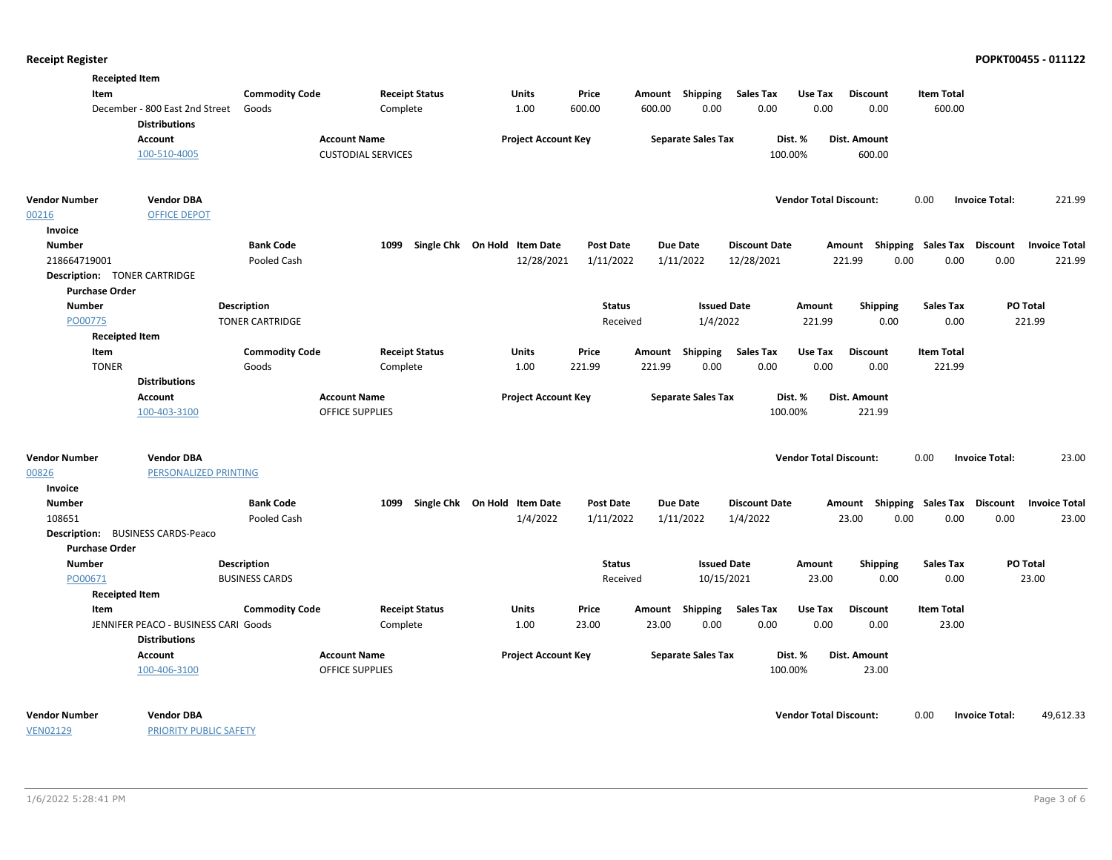|                                     | <b>Receipted Item</b>                |                        |                           |                              |                  |                 |                           |                      |                               |                           |                   |                                    |  |
|-------------------------------------|--------------------------------------|------------------------|---------------------------|------------------------------|------------------|-----------------|---------------------------|----------------------|-------------------------------|---------------------------|-------------------|------------------------------------|--|
| Item                                |                                      | <b>Commodity Code</b>  | <b>Receipt Status</b>     | Units                        | Price            | Amount Shipping |                           | <b>Sales Tax</b>     | Use Tax                       | <b>Discount</b>           | <b>Item Total</b> |                                    |  |
|                                     | December - 800 East 2nd Street       | Goods                  | Complete                  | 1.00                         | 600.00           | 600.00          | 0.00                      | 0.00                 | 0.00                          | 0.00                      | 600.00            |                                    |  |
|                                     | <b>Distributions</b>                 |                        |                           |                              |                  |                 |                           |                      |                               |                           |                   |                                    |  |
|                                     | Account                              |                        | <b>Account Name</b>       | <b>Project Account Key</b>   |                  |                 | <b>Separate Sales Tax</b> | Dist. %              |                               | Dist. Amount              |                   |                                    |  |
|                                     | 100-510-4005                         |                        | <b>CUSTODIAL SERVICES</b> |                              |                  |                 |                           | 100.00%              |                               | 600.00                    |                   |                                    |  |
| Vendor Number                       | <b>Vendor DBA</b>                    |                        |                           |                              |                  |                 |                           |                      | <b>Vendor Total Discount:</b> |                           | 0.00              | 221.99<br><b>Invoice Total:</b>    |  |
| 00216                               | <b>OFFICE DEPOT</b>                  |                        |                           |                              |                  |                 |                           |                      |                               |                           |                   |                                    |  |
| Invoice                             |                                      |                        |                           |                              |                  |                 |                           |                      |                               |                           |                   |                                    |  |
| <b>Number</b>                       |                                      | <b>Bank Code</b>       | 1099                      | Single Chk On Hold Item Date | <b>Post Date</b> | <b>Due Date</b> |                           | <b>Discount Date</b> |                               | Amount Shipping Sales Tax |                   | Discount<br><b>Invoice Total</b>   |  |
| 218664719001                        |                                      | Pooled Cash            |                           | 12/28/2021                   | 1/11/2022        | 1/11/2022       |                           | 12/28/2021           |                               | 221.99<br>0.00            | 0.00              | 0.00<br>221.99                     |  |
| <b>Description: TONER CARTRIDGE</b> |                                      |                        |                           |                              |                  |                 |                           |                      |                               |                           |                   |                                    |  |
| <b>Purchase Order</b>               |                                      |                        |                           |                              |                  |                 |                           |                      |                               |                           |                   |                                    |  |
| <b>Number</b>                       |                                      | <b>Description</b>     |                           |                              | <b>Status</b>    |                 | <b>Issued Date</b>        |                      | Amount                        | Shipping                  | <b>Sales Tax</b>  | PO Total                           |  |
| PO00775                             |                                      | <b>TONER CARTRIDGE</b> |                           |                              | Received         |                 | 1/4/2022                  |                      | 221.99                        | 0.00                      | 0.00              | 221.99                             |  |
|                                     | <b>Receipted Item</b>                |                        |                           |                              |                  |                 |                           |                      |                               |                           |                   |                                    |  |
| Item                                |                                      | <b>Commodity Code</b>  | <b>Receipt Status</b>     | Units                        | Price            | Amount          | <b>Shipping</b>           | <b>Sales Tax</b>     | Use Tax                       | <b>Discount</b>           | <b>Item Total</b> |                                    |  |
| <b>TONER</b>                        |                                      | Goods                  | Complete                  | 1.00                         | 221.99           | 221.99          | 0.00                      | 0.00                 | 0.00                          | 0.00                      | 221.99            |                                    |  |
|                                     | <b>Distributions</b>                 |                        |                           |                              |                  |                 |                           |                      |                               |                           |                   |                                    |  |
|                                     | Account                              |                        | <b>Account Name</b>       | <b>Project Account Key</b>   |                  |                 | <b>Separate Sales Tax</b> | Dist. %              |                               | Dist. Amount              |                   |                                    |  |
|                                     | 100-403-3100                         |                        | OFFICE SUPPLIES           |                              |                  |                 |                           | 100.00%              |                               | 221.99                    |                   |                                    |  |
| Vendor Number                       | <b>Vendor DBA</b>                    |                        |                           |                              |                  |                 |                           |                      | <b>Vendor Total Discount:</b> |                           | 0.00              | <b>Invoice Total:</b><br>23.00     |  |
| 00826                               | PERSONALIZED PRINTING                |                        |                           |                              |                  |                 |                           |                      |                               |                           |                   |                                    |  |
| Invoice                             |                                      |                        |                           |                              |                  |                 |                           |                      |                               |                           |                   |                                    |  |
| Number                              |                                      | <b>Bank Code</b>       | 1099                      | Single Chk On Hold Item Date | <b>Post Date</b> | <b>Due Date</b> |                           | <b>Discount Date</b> |                               | Amount Shipping Sales Tax |                   | Discount<br><b>Invoice Total</b>   |  |
| 108651                              |                                      | Pooled Cash            |                           | 1/4/2022                     | 1/11/2022        | 1/11/2022       |                           | 1/4/2022             |                               | 23.00<br>0.00             | 0.00              | 0.00<br>23.00                      |  |
|                                     | Description: BUSINESS CARDS-Peaco    |                        |                           |                              |                  |                 |                           |                      |                               |                           |                   |                                    |  |
| <b>Purchase Order</b>               |                                      |                        |                           |                              |                  |                 |                           |                      |                               |                           |                   |                                    |  |
| <b>Number</b>                       |                                      | <b>Description</b>     |                           |                              | <b>Status</b>    |                 | <b>Issued Date</b>        |                      | Amount                        | <b>Shipping</b>           | <b>Sales Tax</b>  | PO Total                           |  |
| PO00671                             |                                      | <b>BUSINESS CARDS</b>  |                           |                              | Received         |                 | 10/15/2021                |                      | 23.00                         | 0.00                      | 0.00              | 23.00                              |  |
|                                     | <b>Receipted Item</b>                |                        |                           |                              |                  |                 |                           |                      |                               |                           |                   |                                    |  |
| Item                                |                                      | <b>Commodity Code</b>  | <b>Receipt Status</b>     | Units                        | Price            | Amount Shipping |                           | <b>Sales Tax</b>     | Use Tax                       | <b>Discount</b>           | <b>Item Total</b> |                                    |  |
|                                     | JENNIFER PEACO - BUSINESS CARI Goods |                        | Complete                  | 1.00                         | 23.00            | 23.00           | 0.00                      | 0.00                 | 0.00                          | 0.00                      | 23.00             |                                    |  |
|                                     | <b>Distributions</b>                 |                        |                           |                              |                  |                 |                           |                      |                               |                           |                   |                                    |  |
|                                     | Account                              |                        | <b>Account Name</b>       | <b>Project Account Key</b>   |                  |                 | <b>Separate Sales Tax</b> | Dist. %              |                               | Dist. Amount              |                   |                                    |  |
|                                     | 100-406-3100                         |                        | OFFICE SUPPLIES           |                              |                  |                 |                           | 100.00%              |                               | 23.00                     |                   |                                    |  |
| <b>Vendor Number</b>                | <b>Vendor DBA</b>                    |                        |                           |                              |                  |                 |                           |                      | <b>Vendor Total Discount:</b> |                           | 0.00              | <b>Invoice Total:</b><br>49,612.33 |  |
|                                     |                                      |                        |                           |                              |                  |                 |                           |                      |                               |                           |                   |                                    |  |

VEN02129

PRIORITY PUBLIC SAFETY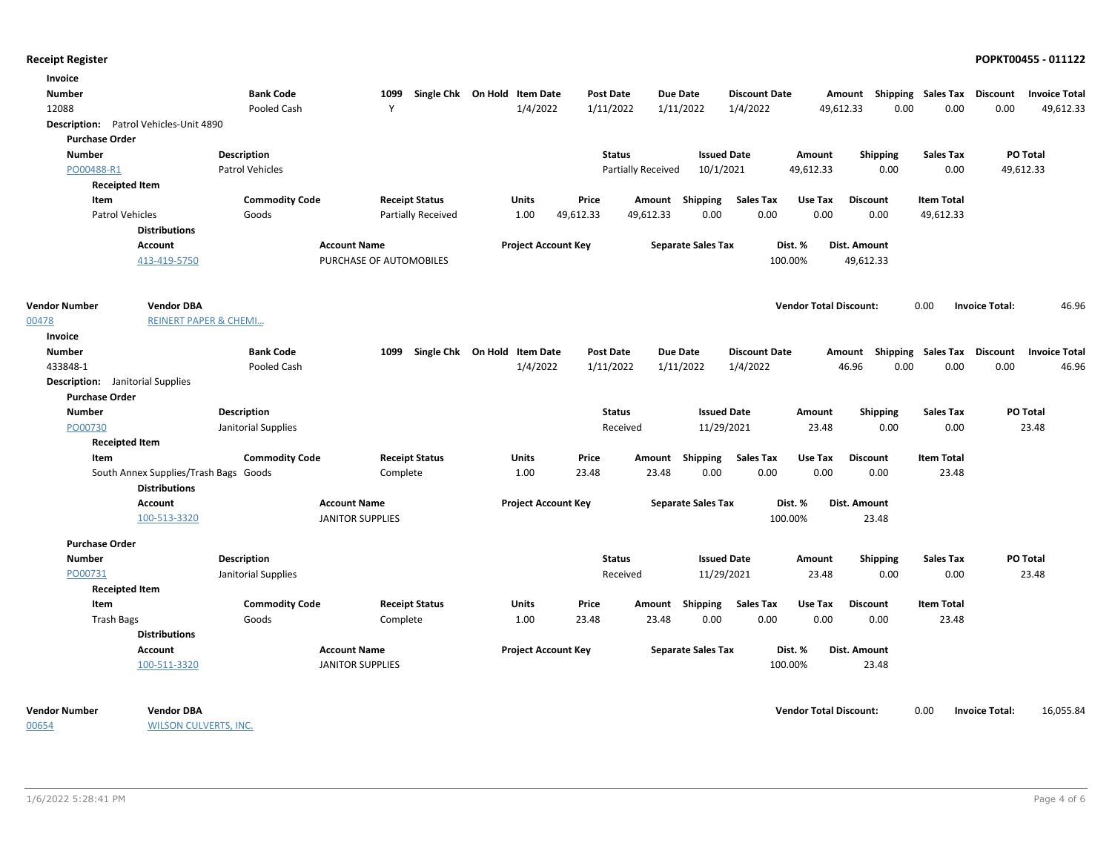| <b>Number</b><br><b>Bank Code</b><br>1099<br>Single Chk On Hold Item Date<br><b>Post Date</b><br><b>Due Date</b><br><b>Discount Date</b><br>Amount Shipping Sales Tax Discount<br>12088<br>Y<br>1/4/2022<br>1/11/2022<br>1/11/2022<br>1/4/2022<br>0.00<br>0.00<br>Pooled Cash<br>49,612.33<br>0.00<br>Description: Patrol Vehicles-Unit 4890<br><b>Purchase Order</b><br><b>Issued Date</b><br>PO Total<br><b>Number</b><br><b>Description</b><br><b>Status</b><br><b>Sales Tax</b><br>Amount<br><b>Shipping</b><br>10/1/2021<br>49,612.33<br>PO00488-R1<br>Patrol Vehicles<br>Partially Received<br>49,612.33<br>0.00<br>0.00<br><b>Receipted Item</b><br>Item<br><b>Commodity Code</b><br><b>Receipt Status</b><br><b>Units</b><br>Price<br>Shipping<br><b>Sales Tax</b><br>Use Tax<br><b>Discount</b><br><b>Item Total</b><br>Amount<br>49,612.33<br>0.00<br>0.00<br>0.00<br>0.00<br><b>Patrol Vehicles</b><br>Goods<br><b>Partially Received</b><br>1.00<br>49,612.33<br>49,612.33<br><b>Distributions</b><br><b>Account</b><br><b>Account Name</b><br><b>Project Account Key</b><br><b>Separate Sales Tax</b><br>Dist. %<br><b>Dist. Amount</b><br>413-419-5750<br>PURCHASE OF AUTOMOBILES<br>100.00%<br>49,612.33<br><b>Vendor DBA</b><br><b>Vendor Total Discount:</b><br>0.00<br><b>Vendor Number</b><br><b>Invoice Total:</b><br><b>REINERT PAPER &amp; CHEMI</b><br>00478<br>Invoice<br><b>Bank Code</b><br>1099<br>Single Chk On Hold Item Date<br><b>Post Date</b><br><b>Due Date</b><br><b>Discount Date</b><br>Amount Shipping Sales Tax Discount<br><b>Number</b><br>1/11/2022<br>0.00<br>433848-1<br>Pooled Cash<br>1/4/2022<br>1/11/2022<br>1/4/2022<br>46.96<br>0.00<br>0.00<br><b>Description:</b> Janitorial Supplies<br><b>Purchase Order</b><br><b>Description</b><br><b>Status</b><br><b>Issued Date</b><br>PO Total<br><b>Number</b><br>Amount<br><b>Shipping</b><br>Sales Tax<br>23.48<br>PO00730<br>Janitorial Supplies<br>Received<br>11/29/2021<br>23.48<br>0.00<br>0.00<br><b>Receipted Item</b><br><b>Commodity Code</b><br><b>Receipt Status</b><br><b>Sales Tax</b><br><b>Item Total</b><br>Item<br>Units<br>Price<br>Amount<br>Shipping<br>Use Tax<br><b>Discount</b><br>South Annex Supplies/Trash Bags Goods<br>1.00<br>23.48<br>0.00<br>0.00<br>0.00<br>0.00<br>23.48<br>Complete<br>23.48<br><b>Distributions</b><br><b>Account Name</b><br><b>Project Account Key</b><br><b>Separate Sales Tax</b><br>Dist. %<br><b>Dist. Amount</b><br><b>Account</b><br>100-513-3320<br><b>JANITOR SUPPLIES</b><br>100.00%<br>23.48<br><b>Purchase Order</b><br><b>Description</b><br><b>Status</b><br><b>Issued Date</b><br><b>Sales Tax</b><br>PO Total<br><b>Number</b><br>Amount<br><b>Shipping</b><br>PO00731<br>Janitorial Supplies<br>11/29/2021<br>23.48<br>0.00<br>23.48<br>Received<br>0.00<br><b>Receipted Item</b><br><b>Commodity Code</b><br><b>Sales Tax</b><br>Item<br><b>Receipt Status</b><br><b>Units</b><br>Price<br>Shipping<br>Use Tax<br><b>Discount</b><br><b>Item Total</b><br>Amount<br>0.00<br>0.00<br>0.00<br><b>Trash Bags</b><br>1.00<br>23.48<br>23.48<br>0.00<br>23.48<br>Goods<br>Complete<br><b>Distributions</b><br><b>Dist. Amount</b><br><b>Account Name</b><br><b>Project Account Key</b><br><b>Separate Sales Tax</b><br>Dist. %<br>Account<br>100-511-3320<br><b>JANITOR SUPPLIES</b><br>100.00%<br>23.48 | Invoice |  |  |  |  |  |  |  |                      |
|---------------------------------------------------------------------------------------------------------------------------------------------------------------------------------------------------------------------------------------------------------------------------------------------------------------------------------------------------------------------------------------------------------------------------------------------------------------------------------------------------------------------------------------------------------------------------------------------------------------------------------------------------------------------------------------------------------------------------------------------------------------------------------------------------------------------------------------------------------------------------------------------------------------------------------------------------------------------------------------------------------------------------------------------------------------------------------------------------------------------------------------------------------------------------------------------------------------------------------------------------------------------------------------------------------------------------------------------------------------------------------------------------------------------------------------------------------------------------------------------------------------------------------------------------------------------------------------------------------------------------------------------------------------------------------------------------------------------------------------------------------------------------------------------------------------------------------------------------------------------------------------------------------------------------------------------------------------------------------------------------------------------------------------------------------------------------------------------------------------------------------------------------------------------------------------------------------------------------------------------------------------------------------------------------------------------------------------------------------------------------------------------------------------------------------------------------------------------------------------------------------------------------------------------------------------------------------------------------------------------------------------------------------------------------------------------------------------------------------------------------------------------------------------------------------------------------------------------------------------------------------------------------------------------------------------------------------------------------------------------------------------------------------------------------------------------------------------------------------------------------------------------------------------------------------------------------------------------------------------------------------------------------------------------------------------------------------------------------------------------------|---------|--|--|--|--|--|--|--|----------------------|
|                                                                                                                                                                                                                                                                                                                                                                                                                                                                                                                                                                                                                                                                                                                                                                                                                                                                                                                                                                                                                                                                                                                                                                                                                                                                                                                                                                                                                                                                                                                                                                                                                                                                                                                                                                                                                                                                                                                                                                                                                                                                                                                                                                                                                                                                                                                                                                                                                                                                                                                                                                                                                                                                                                                                                                                                                                                                                                                                                                                                                                                                                                                                                                                                                                                                                                                                                                           |         |  |  |  |  |  |  |  | <b>Invoice Total</b> |
|                                                                                                                                                                                                                                                                                                                                                                                                                                                                                                                                                                                                                                                                                                                                                                                                                                                                                                                                                                                                                                                                                                                                                                                                                                                                                                                                                                                                                                                                                                                                                                                                                                                                                                                                                                                                                                                                                                                                                                                                                                                                                                                                                                                                                                                                                                                                                                                                                                                                                                                                                                                                                                                                                                                                                                                                                                                                                                                                                                                                                                                                                                                                                                                                                                                                                                                                                                           |         |  |  |  |  |  |  |  | 49,612.33            |
|                                                                                                                                                                                                                                                                                                                                                                                                                                                                                                                                                                                                                                                                                                                                                                                                                                                                                                                                                                                                                                                                                                                                                                                                                                                                                                                                                                                                                                                                                                                                                                                                                                                                                                                                                                                                                                                                                                                                                                                                                                                                                                                                                                                                                                                                                                                                                                                                                                                                                                                                                                                                                                                                                                                                                                                                                                                                                                                                                                                                                                                                                                                                                                                                                                                                                                                                                                           |         |  |  |  |  |  |  |  |                      |
|                                                                                                                                                                                                                                                                                                                                                                                                                                                                                                                                                                                                                                                                                                                                                                                                                                                                                                                                                                                                                                                                                                                                                                                                                                                                                                                                                                                                                                                                                                                                                                                                                                                                                                                                                                                                                                                                                                                                                                                                                                                                                                                                                                                                                                                                                                                                                                                                                                                                                                                                                                                                                                                                                                                                                                                                                                                                                                                                                                                                                                                                                                                                                                                                                                                                                                                                                                           |         |  |  |  |  |  |  |  |                      |
|                                                                                                                                                                                                                                                                                                                                                                                                                                                                                                                                                                                                                                                                                                                                                                                                                                                                                                                                                                                                                                                                                                                                                                                                                                                                                                                                                                                                                                                                                                                                                                                                                                                                                                                                                                                                                                                                                                                                                                                                                                                                                                                                                                                                                                                                                                                                                                                                                                                                                                                                                                                                                                                                                                                                                                                                                                                                                                                                                                                                                                                                                                                                                                                                                                                                                                                                                                           |         |  |  |  |  |  |  |  |                      |
|                                                                                                                                                                                                                                                                                                                                                                                                                                                                                                                                                                                                                                                                                                                                                                                                                                                                                                                                                                                                                                                                                                                                                                                                                                                                                                                                                                                                                                                                                                                                                                                                                                                                                                                                                                                                                                                                                                                                                                                                                                                                                                                                                                                                                                                                                                                                                                                                                                                                                                                                                                                                                                                                                                                                                                                                                                                                                                                                                                                                                                                                                                                                                                                                                                                                                                                                                                           |         |  |  |  |  |  |  |  |                      |
|                                                                                                                                                                                                                                                                                                                                                                                                                                                                                                                                                                                                                                                                                                                                                                                                                                                                                                                                                                                                                                                                                                                                                                                                                                                                                                                                                                                                                                                                                                                                                                                                                                                                                                                                                                                                                                                                                                                                                                                                                                                                                                                                                                                                                                                                                                                                                                                                                                                                                                                                                                                                                                                                                                                                                                                                                                                                                                                                                                                                                                                                                                                                                                                                                                                                                                                                                                           |         |  |  |  |  |  |  |  |                      |
|                                                                                                                                                                                                                                                                                                                                                                                                                                                                                                                                                                                                                                                                                                                                                                                                                                                                                                                                                                                                                                                                                                                                                                                                                                                                                                                                                                                                                                                                                                                                                                                                                                                                                                                                                                                                                                                                                                                                                                                                                                                                                                                                                                                                                                                                                                                                                                                                                                                                                                                                                                                                                                                                                                                                                                                                                                                                                                                                                                                                                                                                                                                                                                                                                                                                                                                                                                           |         |  |  |  |  |  |  |  |                      |
|                                                                                                                                                                                                                                                                                                                                                                                                                                                                                                                                                                                                                                                                                                                                                                                                                                                                                                                                                                                                                                                                                                                                                                                                                                                                                                                                                                                                                                                                                                                                                                                                                                                                                                                                                                                                                                                                                                                                                                                                                                                                                                                                                                                                                                                                                                                                                                                                                                                                                                                                                                                                                                                                                                                                                                                                                                                                                                                                                                                                                                                                                                                                                                                                                                                                                                                                                                           |         |  |  |  |  |  |  |  |                      |
|                                                                                                                                                                                                                                                                                                                                                                                                                                                                                                                                                                                                                                                                                                                                                                                                                                                                                                                                                                                                                                                                                                                                                                                                                                                                                                                                                                                                                                                                                                                                                                                                                                                                                                                                                                                                                                                                                                                                                                                                                                                                                                                                                                                                                                                                                                                                                                                                                                                                                                                                                                                                                                                                                                                                                                                                                                                                                                                                                                                                                                                                                                                                                                                                                                                                                                                                                                           |         |  |  |  |  |  |  |  |                      |
|                                                                                                                                                                                                                                                                                                                                                                                                                                                                                                                                                                                                                                                                                                                                                                                                                                                                                                                                                                                                                                                                                                                                                                                                                                                                                                                                                                                                                                                                                                                                                                                                                                                                                                                                                                                                                                                                                                                                                                                                                                                                                                                                                                                                                                                                                                                                                                                                                                                                                                                                                                                                                                                                                                                                                                                                                                                                                                                                                                                                                                                                                                                                                                                                                                                                                                                                                                           |         |  |  |  |  |  |  |  |                      |
|                                                                                                                                                                                                                                                                                                                                                                                                                                                                                                                                                                                                                                                                                                                                                                                                                                                                                                                                                                                                                                                                                                                                                                                                                                                                                                                                                                                                                                                                                                                                                                                                                                                                                                                                                                                                                                                                                                                                                                                                                                                                                                                                                                                                                                                                                                                                                                                                                                                                                                                                                                                                                                                                                                                                                                                                                                                                                                                                                                                                                                                                                                                                                                                                                                                                                                                                                                           |         |  |  |  |  |  |  |  |                      |
|                                                                                                                                                                                                                                                                                                                                                                                                                                                                                                                                                                                                                                                                                                                                                                                                                                                                                                                                                                                                                                                                                                                                                                                                                                                                                                                                                                                                                                                                                                                                                                                                                                                                                                                                                                                                                                                                                                                                                                                                                                                                                                                                                                                                                                                                                                                                                                                                                                                                                                                                                                                                                                                                                                                                                                                                                                                                                                                                                                                                                                                                                                                                                                                                                                                                                                                                                                           |         |  |  |  |  |  |  |  | 46.96                |
|                                                                                                                                                                                                                                                                                                                                                                                                                                                                                                                                                                                                                                                                                                                                                                                                                                                                                                                                                                                                                                                                                                                                                                                                                                                                                                                                                                                                                                                                                                                                                                                                                                                                                                                                                                                                                                                                                                                                                                                                                                                                                                                                                                                                                                                                                                                                                                                                                                                                                                                                                                                                                                                                                                                                                                                                                                                                                                                                                                                                                                                                                                                                                                                                                                                                                                                                                                           |         |  |  |  |  |  |  |  |                      |
|                                                                                                                                                                                                                                                                                                                                                                                                                                                                                                                                                                                                                                                                                                                                                                                                                                                                                                                                                                                                                                                                                                                                                                                                                                                                                                                                                                                                                                                                                                                                                                                                                                                                                                                                                                                                                                                                                                                                                                                                                                                                                                                                                                                                                                                                                                                                                                                                                                                                                                                                                                                                                                                                                                                                                                                                                                                                                                                                                                                                                                                                                                                                                                                                                                                                                                                                                                           |         |  |  |  |  |  |  |  |                      |
|                                                                                                                                                                                                                                                                                                                                                                                                                                                                                                                                                                                                                                                                                                                                                                                                                                                                                                                                                                                                                                                                                                                                                                                                                                                                                                                                                                                                                                                                                                                                                                                                                                                                                                                                                                                                                                                                                                                                                                                                                                                                                                                                                                                                                                                                                                                                                                                                                                                                                                                                                                                                                                                                                                                                                                                                                                                                                                                                                                                                                                                                                                                                                                                                                                                                                                                                                                           |         |  |  |  |  |  |  |  | <b>Invoice Total</b> |
|                                                                                                                                                                                                                                                                                                                                                                                                                                                                                                                                                                                                                                                                                                                                                                                                                                                                                                                                                                                                                                                                                                                                                                                                                                                                                                                                                                                                                                                                                                                                                                                                                                                                                                                                                                                                                                                                                                                                                                                                                                                                                                                                                                                                                                                                                                                                                                                                                                                                                                                                                                                                                                                                                                                                                                                                                                                                                                                                                                                                                                                                                                                                                                                                                                                                                                                                                                           |         |  |  |  |  |  |  |  | 46.96                |
|                                                                                                                                                                                                                                                                                                                                                                                                                                                                                                                                                                                                                                                                                                                                                                                                                                                                                                                                                                                                                                                                                                                                                                                                                                                                                                                                                                                                                                                                                                                                                                                                                                                                                                                                                                                                                                                                                                                                                                                                                                                                                                                                                                                                                                                                                                                                                                                                                                                                                                                                                                                                                                                                                                                                                                                                                                                                                                                                                                                                                                                                                                                                                                                                                                                                                                                                                                           |         |  |  |  |  |  |  |  |                      |
|                                                                                                                                                                                                                                                                                                                                                                                                                                                                                                                                                                                                                                                                                                                                                                                                                                                                                                                                                                                                                                                                                                                                                                                                                                                                                                                                                                                                                                                                                                                                                                                                                                                                                                                                                                                                                                                                                                                                                                                                                                                                                                                                                                                                                                                                                                                                                                                                                                                                                                                                                                                                                                                                                                                                                                                                                                                                                                                                                                                                                                                                                                                                                                                                                                                                                                                                                                           |         |  |  |  |  |  |  |  |                      |
|                                                                                                                                                                                                                                                                                                                                                                                                                                                                                                                                                                                                                                                                                                                                                                                                                                                                                                                                                                                                                                                                                                                                                                                                                                                                                                                                                                                                                                                                                                                                                                                                                                                                                                                                                                                                                                                                                                                                                                                                                                                                                                                                                                                                                                                                                                                                                                                                                                                                                                                                                                                                                                                                                                                                                                                                                                                                                                                                                                                                                                                                                                                                                                                                                                                                                                                                                                           |         |  |  |  |  |  |  |  |                      |
|                                                                                                                                                                                                                                                                                                                                                                                                                                                                                                                                                                                                                                                                                                                                                                                                                                                                                                                                                                                                                                                                                                                                                                                                                                                                                                                                                                                                                                                                                                                                                                                                                                                                                                                                                                                                                                                                                                                                                                                                                                                                                                                                                                                                                                                                                                                                                                                                                                                                                                                                                                                                                                                                                                                                                                                                                                                                                                                                                                                                                                                                                                                                                                                                                                                                                                                                                                           |         |  |  |  |  |  |  |  |                      |
|                                                                                                                                                                                                                                                                                                                                                                                                                                                                                                                                                                                                                                                                                                                                                                                                                                                                                                                                                                                                                                                                                                                                                                                                                                                                                                                                                                                                                                                                                                                                                                                                                                                                                                                                                                                                                                                                                                                                                                                                                                                                                                                                                                                                                                                                                                                                                                                                                                                                                                                                                                                                                                                                                                                                                                                                                                                                                                                                                                                                                                                                                                                                                                                                                                                                                                                                                                           |         |  |  |  |  |  |  |  |                      |
|                                                                                                                                                                                                                                                                                                                                                                                                                                                                                                                                                                                                                                                                                                                                                                                                                                                                                                                                                                                                                                                                                                                                                                                                                                                                                                                                                                                                                                                                                                                                                                                                                                                                                                                                                                                                                                                                                                                                                                                                                                                                                                                                                                                                                                                                                                                                                                                                                                                                                                                                                                                                                                                                                                                                                                                                                                                                                                                                                                                                                                                                                                                                                                                                                                                                                                                                                                           |         |  |  |  |  |  |  |  |                      |
|                                                                                                                                                                                                                                                                                                                                                                                                                                                                                                                                                                                                                                                                                                                                                                                                                                                                                                                                                                                                                                                                                                                                                                                                                                                                                                                                                                                                                                                                                                                                                                                                                                                                                                                                                                                                                                                                                                                                                                                                                                                                                                                                                                                                                                                                                                                                                                                                                                                                                                                                                                                                                                                                                                                                                                                                                                                                                                                                                                                                                                                                                                                                                                                                                                                                                                                                                                           |         |  |  |  |  |  |  |  |                      |
|                                                                                                                                                                                                                                                                                                                                                                                                                                                                                                                                                                                                                                                                                                                                                                                                                                                                                                                                                                                                                                                                                                                                                                                                                                                                                                                                                                                                                                                                                                                                                                                                                                                                                                                                                                                                                                                                                                                                                                                                                                                                                                                                                                                                                                                                                                                                                                                                                                                                                                                                                                                                                                                                                                                                                                                                                                                                                                                                                                                                                                                                                                                                                                                                                                                                                                                                                                           |         |  |  |  |  |  |  |  |                      |
|                                                                                                                                                                                                                                                                                                                                                                                                                                                                                                                                                                                                                                                                                                                                                                                                                                                                                                                                                                                                                                                                                                                                                                                                                                                                                                                                                                                                                                                                                                                                                                                                                                                                                                                                                                                                                                                                                                                                                                                                                                                                                                                                                                                                                                                                                                                                                                                                                                                                                                                                                                                                                                                                                                                                                                                                                                                                                                                                                                                                                                                                                                                                                                                                                                                                                                                                                                           |         |  |  |  |  |  |  |  |                      |
|                                                                                                                                                                                                                                                                                                                                                                                                                                                                                                                                                                                                                                                                                                                                                                                                                                                                                                                                                                                                                                                                                                                                                                                                                                                                                                                                                                                                                                                                                                                                                                                                                                                                                                                                                                                                                                                                                                                                                                                                                                                                                                                                                                                                                                                                                                                                                                                                                                                                                                                                                                                                                                                                                                                                                                                                                                                                                                                                                                                                                                                                                                                                                                                                                                                                                                                                                                           |         |  |  |  |  |  |  |  |                      |
|                                                                                                                                                                                                                                                                                                                                                                                                                                                                                                                                                                                                                                                                                                                                                                                                                                                                                                                                                                                                                                                                                                                                                                                                                                                                                                                                                                                                                                                                                                                                                                                                                                                                                                                                                                                                                                                                                                                                                                                                                                                                                                                                                                                                                                                                                                                                                                                                                                                                                                                                                                                                                                                                                                                                                                                                                                                                                                                                                                                                                                                                                                                                                                                                                                                                                                                                                                           |         |  |  |  |  |  |  |  |                      |
|                                                                                                                                                                                                                                                                                                                                                                                                                                                                                                                                                                                                                                                                                                                                                                                                                                                                                                                                                                                                                                                                                                                                                                                                                                                                                                                                                                                                                                                                                                                                                                                                                                                                                                                                                                                                                                                                                                                                                                                                                                                                                                                                                                                                                                                                                                                                                                                                                                                                                                                                                                                                                                                                                                                                                                                                                                                                                                                                                                                                                                                                                                                                                                                                                                                                                                                                                                           |         |  |  |  |  |  |  |  |                      |
|                                                                                                                                                                                                                                                                                                                                                                                                                                                                                                                                                                                                                                                                                                                                                                                                                                                                                                                                                                                                                                                                                                                                                                                                                                                                                                                                                                                                                                                                                                                                                                                                                                                                                                                                                                                                                                                                                                                                                                                                                                                                                                                                                                                                                                                                                                                                                                                                                                                                                                                                                                                                                                                                                                                                                                                                                                                                                                                                                                                                                                                                                                                                                                                                                                                                                                                                                                           |         |  |  |  |  |  |  |  |                      |
|                                                                                                                                                                                                                                                                                                                                                                                                                                                                                                                                                                                                                                                                                                                                                                                                                                                                                                                                                                                                                                                                                                                                                                                                                                                                                                                                                                                                                                                                                                                                                                                                                                                                                                                                                                                                                                                                                                                                                                                                                                                                                                                                                                                                                                                                                                                                                                                                                                                                                                                                                                                                                                                                                                                                                                                                                                                                                                                                                                                                                                                                                                                                                                                                                                                                                                                                                                           |         |  |  |  |  |  |  |  |                      |
|                                                                                                                                                                                                                                                                                                                                                                                                                                                                                                                                                                                                                                                                                                                                                                                                                                                                                                                                                                                                                                                                                                                                                                                                                                                                                                                                                                                                                                                                                                                                                                                                                                                                                                                                                                                                                                                                                                                                                                                                                                                                                                                                                                                                                                                                                                                                                                                                                                                                                                                                                                                                                                                                                                                                                                                                                                                                                                                                                                                                                                                                                                                                                                                                                                                                                                                                                                           |         |  |  |  |  |  |  |  |                      |
|                                                                                                                                                                                                                                                                                                                                                                                                                                                                                                                                                                                                                                                                                                                                                                                                                                                                                                                                                                                                                                                                                                                                                                                                                                                                                                                                                                                                                                                                                                                                                                                                                                                                                                                                                                                                                                                                                                                                                                                                                                                                                                                                                                                                                                                                                                                                                                                                                                                                                                                                                                                                                                                                                                                                                                                                                                                                                                                                                                                                                                                                                                                                                                                                                                                                                                                                                                           |         |  |  |  |  |  |  |  |                      |
|                                                                                                                                                                                                                                                                                                                                                                                                                                                                                                                                                                                                                                                                                                                                                                                                                                                                                                                                                                                                                                                                                                                                                                                                                                                                                                                                                                                                                                                                                                                                                                                                                                                                                                                                                                                                                                                                                                                                                                                                                                                                                                                                                                                                                                                                                                                                                                                                                                                                                                                                                                                                                                                                                                                                                                                                                                                                                                                                                                                                                                                                                                                                                                                                                                                                                                                                                                           |         |  |  |  |  |  |  |  |                      |
|                                                                                                                                                                                                                                                                                                                                                                                                                                                                                                                                                                                                                                                                                                                                                                                                                                                                                                                                                                                                                                                                                                                                                                                                                                                                                                                                                                                                                                                                                                                                                                                                                                                                                                                                                                                                                                                                                                                                                                                                                                                                                                                                                                                                                                                                                                                                                                                                                                                                                                                                                                                                                                                                                                                                                                                                                                                                                                                                                                                                                                                                                                                                                                                                                                                                                                                                                                           |         |  |  |  |  |  |  |  |                      |
|                                                                                                                                                                                                                                                                                                                                                                                                                                                                                                                                                                                                                                                                                                                                                                                                                                                                                                                                                                                                                                                                                                                                                                                                                                                                                                                                                                                                                                                                                                                                                                                                                                                                                                                                                                                                                                                                                                                                                                                                                                                                                                                                                                                                                                                                                                                                                                                                                                                                                                                                                                                                                                                                                                                                                                                                                                                                                                                                                                                                                                                                                                                                                                                                                                                                                                                                                                           |         |  |  |  |  |  |  |  |                      |
| <b>Vendor Number</b><br><b>Vendor DBA</b><br><b>Vendor Total Discount:</b><br>0.00<br><b>Invoice Total:</b>                                                                                                                                                                                                                                                                                                                                                                                                                                                                                                                                                                                                                                                                                                                                                                                                                                                                                                                                                                                                                                                                                                                                                                                                                                                                                                                                                                                                                                                                                                                                                                                                                                                                                                                                                                                                                                                                                                                                                                                                                                                                                                                                                                                                                                                                                                                                                                                                                                                                                                                                                                                                                                                                                                                                                                                                                                                                                                                                                                                                                                                                                                                                                                                                                                                               |         |  |  |  |  |  |  |  | 16,055.84            |

00654

WILSON CULVERTS, INC.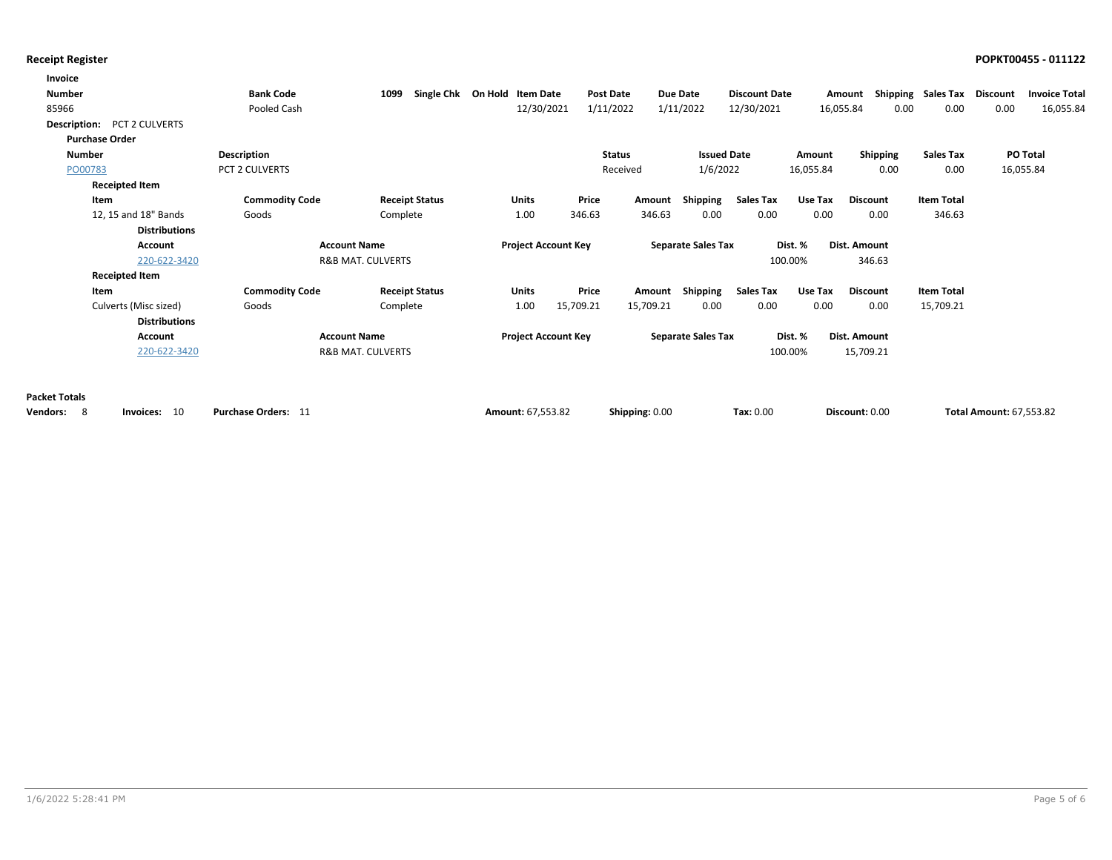| Invoice                            |                       |                              |                              |           |                |                           |                      |           |                   |                             |                                |                      |
|------------------------------------|-----------------------|------------------------------|------------------------------|-----------|----------------|---------------------------|----------------------|-----------|-------------------|-----------------------------|--------------------------------|----------------------|
| <b>Number</b>                      | <b>Bank Code</b>      | 1099                         | Single Chk On Hold Item Date |           | Post Date      | Due Date                  | <b>Discount Date</b> |           | Amount            | Shipping Sales Tax Discount |                                | <b>Invoice Total</b> |
| 85966                              | Pooled Cash           |                              | 12/30/2021                   |           | 1/11/2022      | 1/11/2022                 | 12/30/2021           |           | 16,055.84<br>0.00 | 0.00                        | 0.00                           | 16,055.84            |
| <b>Description:</b> PCT 2 CULVERTS |                       |                              |                              |           |                |                           |                      |           |                   |                             |                                |                      |
| <b>Purchase Order</b>              |                       |                              |                              |           |                |                           |                      |           |                   |                             |                                |                      |
| Number                             | Description           |                              |                              |           | <b>Status</b>  | <b>Issued Date</b>        |                      | Amount    | Shipping          | <b>Sales Tax</b>            | <b>PO Total</b>                |                      |
| PO00783                            | PCT 2 CULVERTS        |                              |                              |           | Received       | 1/6/2022                  |                      | 16,055.84 | 0.00              | 0.00                        | 16,055.84                      |                      |
| <b>Receipted Item</b>              |                       |                              |                              |           |                |                           |                      |           |                   |                             |                                |                      |
| Item                               | <b>Commodity Code</b> | <b>Receipt Status</b>        | <b>Units</b>                 | Price     | Amount         | Shipping                  | <b>Sales Tax</b>     | Use Tax   | <b>Discount</b>   | <b>Item Total</b>           |                                |                      |
| 12, 15 and 18" Bands               | Goods                 | Complete                     | 1.00                         | 346.63    | 346.63         | 0.00                      | 0.00                 | 0.00      | 0.00              | 346.63                      |                                |                      |
| <b>Distributions</b>               |                       |                              |                              |           |                |                           |                      |           |                   |                             |                                |                      |
| <b>Account</b>                     |                       | <b>Account Name</b>          | <b>Project Account Key</b>   |           |                | <b>Separate Sales Tax</b> |                      | Dist. %   | Dist. Amount      |                             |                                |                      |
| 220-622-3420                       |                       | <b>R&amp;B MAT. CULVERTS</b> |                              |           |                |                           |                      | 100.00%   | 346.63            |                             |                                |                      |
| <b>Receipted Item</b>              |                       |                              |                              |           |                |                           |                      |           |                   |                             |                                |                      |
| Item                               | <b>Commodity Code</b> | <b>Receipt Status</b>        | <b>Units</b>                 | Price     | Amount         | Shipping                  | Sales Tax            | Use Tax   | <b>Discount</b>   | <b>Item Total</b>           |                                |                      |
| Culverts (Misc sized)              | Goods                 | Complete                     | 1.00                         | 15,709.21 | 15,709.21      | 0.00                      | 0.00                 | 0.00      | 0.00              | 15,709.21                   |                                |                      |
| <b>Distributions</b>               |                       |                              |                              |           |                |                           |                      |           |                   |                             |                                |                      |
| <b>Account</b>                     |                       | <b>Account Name</b>          | <b>Project Account Key</b>   |           |                | <b>Separate Sales Tax</b> |                      | Dist. %   | Dist. Amount      |                             |                                |                      |
| 220-622-3420                       |                       | R&B MAT. CULVERTS            |                              |           |                |                           |                      | 100.00%   | 15,709.21         |                             |                                |                      |
|                                    |                       |                              |                              |           |                |                           |                      |           |                   |                             |                                |                      |
| <b>Packet Totals</b>               |                       |                              |                              |           |                |                           |                      |           |                   |                             |                                |                      |
| - 8<br>Vendors:<br>Invoices: 10    | Purchase Orders: 11   |                              | Amount: 67.553.82            |           | Shipping: 0.00 |                           | Tax: 0.00            |           | Discount: 0.00    |                             | <b>Total Amount: 67.553.82</b> |                      |